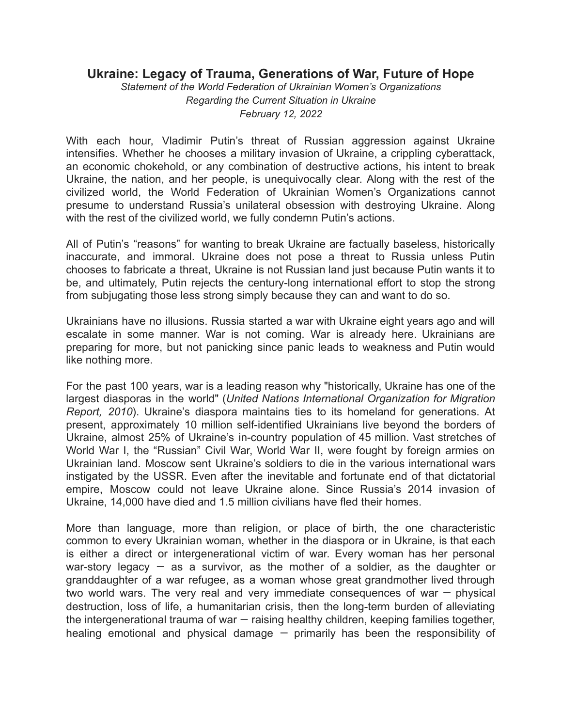## **Ukraine: Legacy of Trauma, Generations of War, Future of Hope**

*Statement of the World Federation of Ukrainian Women's Organizations Regarding the Current Situation in Ukraine February 12, 2022*

With each hour, Vladimir Putin's threat of Russian aggression against Ukraine intensifies. Whether he chooses a military invasion of Ukraine, a crippling cyberattack, an economic chokehold, or any combination of destructive actions, his intent to break Ukraine, the nation, and her people, is unequivocally clear. Along with the rest of the civilized world, the World Federation of Ukrainian Women's Organizations cannot presume to understand Russia's unilateral obsession with destroying Ukraine. Along with the rest of the civilized world, we fully condemn Putin's actions.

All of Putin's "reasons" for wanting to break Ukraine are factually baseless, historically inaccurate, and immoral. Ukraine does not pose a threat to Russia unless Putin chooses to fabricate a threat, Ukraine is not Russian land just because Putin wants it to be, and ultimately, Putin rejects the century-long international effort to stop the strong from subjugating those less strong simply because they can and want to do so.

Ukrainians have no illusions. Russia started a war with Ukraine eight years ago and will escalate in some manner. War is not coming. War is already here. Ukrainians are preparing for more, but not panicking since panic leads to weakness and Putin would like nothing more.

For the past 100 years, war is a leading reason why "historically, Ukraine has one of the largest diasporas in the world" (*United Nations International Organization for Migration Report, 2010*). Ukraine's diaspora maintains ties to its homeland for generations. At present, approximately 10 million self-identified Ukrainians live beyond the borders of Ukraine, almost 25% of Ukraine's in-country population of 45 million. Vast stretches of World War I, the "Russian" Civil War, World War II, were fought by foreign armies on Ukrainian land. Moscow sent Ukraine's soldiers to die in the various international wars instigated by the USSR. Even after the inevitable and fortunate end of that dictatorial empire, Moscow could not leave Ukraine alone. Since Russia's 2014 invasion of Ukraine, 14,000 have died and 1.5 million civilians have fled their homes.

More than language, more than religion, or place of birth, the one characteristic common to every Ukrainian woman, whether in the diaspora or in Ukraine, is that each is either a direct or intergenerational victim of war. Every woman has her personal war-story legacy  $-$  as a survivor, as the mother of a soldier, as the daughter or granddaughter of a war refugee, as a woman whose great grandmother lived through two world wars. The very real and very immediate consequences of war  $-$  physical destruction, loss of life, a humanitarian crisis, then the long-term burden of alleviating the intergenerational trauma of war — raising healthy children, keeping families together, healing emotional and physical damage  $-$  primarily has been the responsibility of